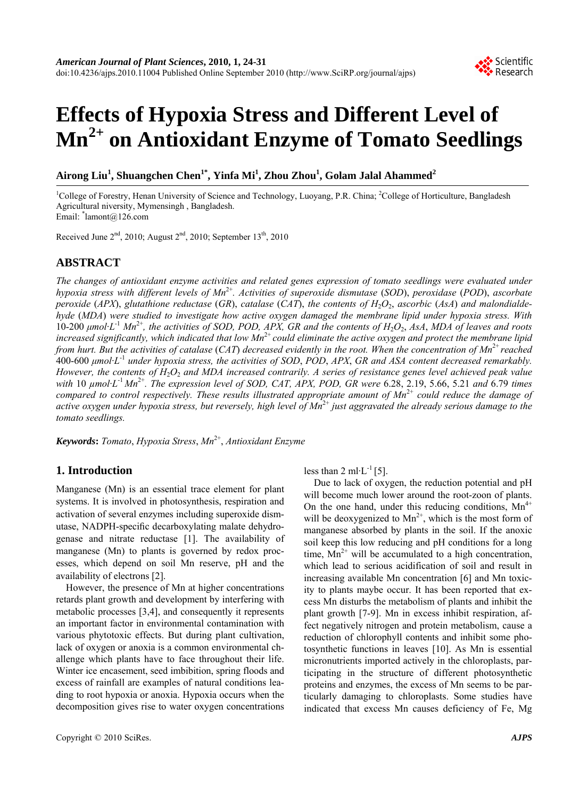# **Effects of Hypoxia Stress and Different Level of Mn2+ on Antioxidant Enzyme of Tomato Seedlings**

**Airong Liu<sup>1</sup> , Shuangchen Chen1\*, Yinfa Mi1 , Zhou Zhou<sup>1</sup> , Golam Jalal Ahammed<sup>2</sup>**

<sup>1</sup>College of Forestry, Henan University of Science and Technology, Luoyang, P.R. China; <sup>2</sup>College of Horticulture, Bangladesh Agricultural niversity, Mymensingh , Bangladesh. Email: \* lamont@126.com

Received June  $2<sup>nd</sup>$ , 2010; August  $2<sup>nd</sup>$ , 2010; September 13<sup>th</sup>, 2010

## **ABSTRACT**

*The changes of antioxidant enzyme activities and related genes expression of tomato seedlings were evaluated under hypoxia stress with different levels of Mn*2+*. Activities of superoxide dismutase* (*SOD*), *peroxidase* (*POD*), *ascorbate peroxide (APX), glutathione reductase (GR), catalase (CAT), the contents of*  $H_2O_2$ *, ascorbic (AsA) and malondialdehyde* (*MDA*) *were studied to investigate how active oxygen damaged the membrane lipid under hypoxia stress. With*  10-200 *μmol·L*-1 *Mn*2+*, the activities of SOD, POD, APX, GR and the contents of H*2*O*2, *AsA*, *MDA of leaves and roots increased significantly, which indicated that low Mn*2+ *could eliminate the active oxygen and protect the membrane lipid from hurt. But the activities of catalase* (CAT) decreased evidently in the root. When the concentration of Mn<sup>2+</sup> reached 400-600 *μmol·L*-1 *under hypoxia stress, the activities of SOD*, *POD*, *APX*, *GR and ASA content decreased remarkably. However, the contents of H*2*O*2 *and MDA increased contrarily. A series of resistance genes level achieved peak value with* 10 *µmol·L*-1 *Mn*2+*. The expression level of SOD, CAT, APX, POD, GR were* 6.28, 2.19, 5.66, 5.21 *and* 6.79 *times compared to control respectively. These results illustrated appropriate amount of Mn*2+ *could reduce the damage of active oxygen under hypoxia stress, but reversely, high level of Mn*2+ *just aggravated the already serious damage to the tomato seedlings.* 

*Keywords***:** *Tomato*, *Hypoxia Stress*, *Mn*2+, *Antioxidant Enzyme* 

## **1. Introduction**

Manganese (Mn) is an essential trace element for plant systems. It is involved in photosynthesis, respiration and activation of several enzymes including superoxide dismutase, NADPH-specific decarboxylating malate dehydrogenase and nitrate reductase [1]. The availability of manganese (Mn) to plants is governed by redox processes, which depend on soil Mn reserve, pH and the availability of electrons [2].

However, the presence of Mn at higher concentrations retards plant growth and development by interfering with metabolic processes [3,4], and consequently it represents an important factor in environmental contamination with various phytotoxic effects. But during plant cultivation, lack of oxygen or anoxia is a common environmental challenge which plants have to face throughout their life. Winter ice encasement, seed imbibition, spring floods and excess of rainfall are examples of natural conditions leading to root hypoxia or anoxia. Hypoxia occurs when the decomposition gives rise to water oxygen concentrations

less than 2 ml $\cdot$ L $^{-1}$ [5].

Due to lack of oxygen, the reduction potential and pH will become much lower around the root-zoon of plants. On the one hand, under this reducing conditions,  $Mn^{4+}$ will be deoxygenized to  $Mn^{2+}$ , which is the most form of manganese absorbed by plants in the soil. If the anoxic soil keep this low reducing and pH conditions for a long time,  $Mn^{2+}$  will be accumulated to a high concentration, which lead to serious acidification of soil and result in increasing available Mn concentration [6] and Mn toxicity to plants maybe occur. It has been reported that excess Mn disturbs the metabolism of plants and inhibit the plant growth [7-9]. Mn in excess inhibit respiration, affect negatively nitrogen and protein metabolism, cause a reduction of chlorophyll contents and inhibit some photosynthetic functions in leaves [10]. As Mn is essential micronutrients imported actively in the chloroplasts, participating in the structure of different photosynthetic proteins and enzymes, the excess of Mn seems to be particularly damaging to chloroplasts. Some studies have indicated that excess Mn causes deficiency of Fe, Mg

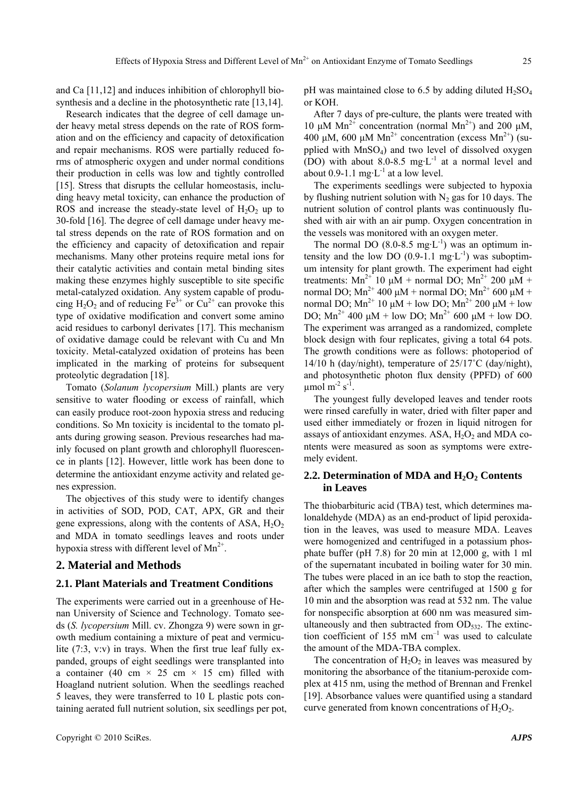and Ca [11,12] and induces inhibition of chlorophyll biosynthesis and a decline in the photosynthetic rate [13,14].

Research indicates that the degree of cell damage under heavy metal stress depends on the rate of ROS formation and on the efficiency and capacity of detoxification and repair mechanisms. ROS were partially reduced forms of atmospheric oxygen and under normal conditions their production in cells was low and tightly controlled [15]. Stress that disrupts the cellular homeostasis, including heavy metal toxicity, can enhance the production of ROS and increase the steady-state level of  $H_2O_2$  up to 30-fold [16]. The degree of cell damage under heavy metal stress depends on the rate of ROS formation and on the efficiency and capacity of detoxification and repair mechanisms. Many other proteins require metal ions for their catalytic activities and contain metal binding sites making these enzymes highly susceptible to site specific metal-catalyzed oxidation. Any system capable of producing  $H_2O_2$  and of reducing  $Fe^{3+}$  or  $Cu^{2+}$  can provoke this type of oxidative modification and convert some amino acid residues to carbonyl derivates [17]. This mechanism of oxidative damage could be relevant with Cu and Mn toxicity. Metal-catalyzed oxidation of proteins has been implicated in the marking of proteins for subsequent proteolytic degradation [18].

Tomato (*Solanum lycopersium* Mill.) plants are very sensitive to water flooding or excess of rainfall, which can easily produce root-zoon hypoxia stress and reducing conditions. So Mn toxicity is incidental to the tomato plants during growing season. Previous researches had mainly focused on plant growth and chlorophyll fluorescence in plants [12]. However, little work has been done to determine the antioxidant enzyme activity and related genes expression.

The objectives of this study were to identify changes in activities of SOD, POD, CAT, APX, GR and their gene expressions, along with the contents of ASA,  $H_2O_2$ and MDA in tomato seedlings leaves and roots under hypoxia stress with different level of  $Mn^{2+}$ .

#### **2. Material and Methods**

## **2.1. Plant Materials and Treatment Conditions**

The experiments were carried out in a greenhouse of Henan University of Science and Technology. Tomato seeds (*S. lycopersium* Mill. cv. Zhongza 9) were sown in growth medium containing a mixture of peat and vermiculite (7:3, v:v) in trays. When the first true leaf fully expanded, groups of eight seedlings were transplanted into a container (40 cm  $\times$  25 cm  $\times$  15 cm) filled with Hoagland nutrient solution. When the seedlings reached 5 leaves, they were transferred to 10 L plastic pots containing aerated full nutrient solution, six seedlings per pot, pH was maintained close to 6.5 by adding diluted  $H_2SO_4$ or KOH.

After 7 days of pre-culture, the plants were treated with 10 μM  $Mn^{2+}$  concentration (normal  $Mn^{2+}$ ) and 200 μM, 400 μM, 600 μM Mn<sup>2+</sup> concentration (excess Mn<sup>2+</sup>) (supplied with  $MnSO<sub>4</sub>$ ) and two level of dissolved oxygen (DO) with about 8.0-8.5 mg·L<sup>-1</sup> at a normal level and about  $0.9-1.1$  mg·L<sup>-1</sup> at a low level.

The experiments seedlings were subjected to hypoxia by flushing nutrient solution with  $N_2$  gas for 10 days. The nutrient solution of control plants was continuously flushed with air with an air pump. Oxygen concentration in the vessels was monitored with an oxygen meter.

The normal DO  $(8.0-8.5 \text{ mg} \cdot \text{L}^{-1})$  was an optimum intensity and the low DO  $(0.9-1.1 \text{ mg} \cdot \text{L}^{-1})$  was suboptimum intensity for plant growth. The experiment had eight treatments: Mn<sup>2+</sup> 10 μM + normal DO; Mn<sup>2+</sup> 200 μM + normal DO; Mn<sup>2+</sup> 400 μM + normal DO; Mn<sup>2+</sup> 600 μM + normal DO;  $Mn^{2+}$  10  $\mu$ M + low DO;  $Mn^{2+}$  200  $\mu$ M + low DO;  $Mn^{2+}$  400 μM + low DO;  $Mn^{2+}$  600 μM + low DO. The experiment was arranged as a randomized, complete block design with four replicates, giving a total 64 pots. The growth conditions were as follows: photoperiod of 14/10 h (day/night), temperature of 25/17˚C (day/night), and photosynthetic photon flux density (PPFD) of 600  $\mu$ mol m<sup>-2</sup> s<sup>-1</sup>.

The youngest fully developed leaves and tender roots were rinsed carefully in water, dried with filter paper and used either immediately or frozen in liquid nitrogen for assays of antioxidant enzymes. ASA,  $H_2O_2$  and MDA contents were measured as soon as symptoms were extremely evident.

## 2.2. Determination of MDA and H<sub>2</sub>O<sub>2</sub> Contents **in Leaves**

The thiobarbituric acid (TBA) test, which determines malonaldehyde (MDA) as an end-product of lipid peroxidation in the leaves, was used to measure MDA. Leaves were homogenized and centrifuged in a potassium phosphate buffer (pH 7.8) for 20 min at 12,000 g, with 1 ml of the supernatant incubated in boiling water for 30 min. The tubes were placed in an ice bath to stop the reaction, after which the samples were centrifuged at 1500 g for 10 min and the absorption was read at 532 nm. The value for nonspecific absorption at 600 nm was measured simultaneously and then subtracted from  $OD_{532}$ . The extinction coefficient of 155 mM  $cm^{-1}$  was used to calculate the amount of the MDA-TBA complex.

The concentration of  $H_2O_2$  in leaves was measured by monitoring the absorbance of the titanium-peroxide complex at 415 nm, using the method of Brennan and Frenkel [19]. Absorbance values were quantified using a standard curve generated from known concentrations of  $H_2O_2$ .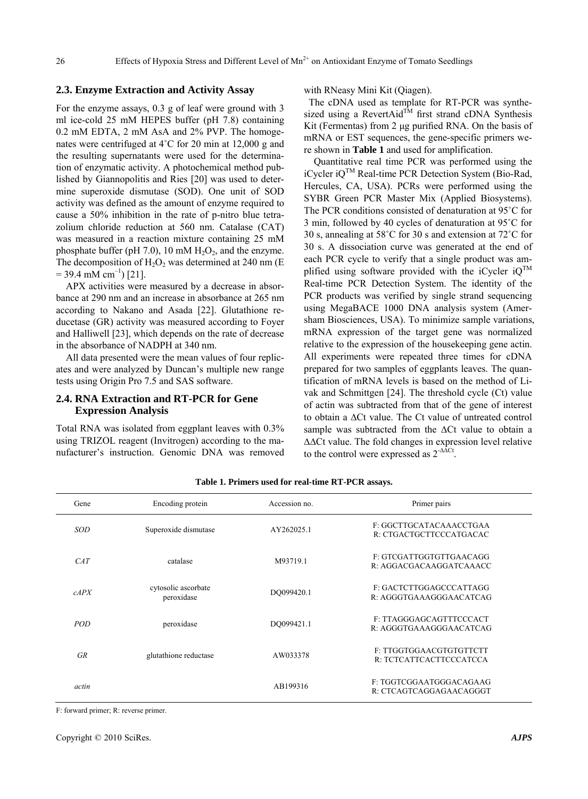## **2.3. Enzyme Extraction and Activity Assay**

For the enzyme assays, 0.3 g of leaf were ground with 3 ml ice-cold 25 mM HEPES buffer (pH 7.8) containing 0.2 mM EDTA, 2 mM AsA and 2% PVP. The homogenates were centrifuged at 4˚C for 20 min at 12,000 g and the resulting supernatants were used for the determination of enzymatic activity. A photochemical method published by Giannopolitis and Ries [20] was used to determine superoxide dismutase (SOD). One unit of SOD activity was defined as the amount of enzyme required to cause a 50% inhibition in the rate of p-nitro blue tetrazolium chloride reduction at 560 nm. Catalase (CAT) was measured in a reaction mixture containing 25 mM phosphate buffer (pH 7.0), 10 mM  $H_2O_2$ , and the enzyme. The decomposition of  $H_2O_2$  was determined at 240 nm (E  $= 39.4$  mM cm<sup>-1</sup>) [21].

APX activities were measured by a decrease in absorbance at 290 nm and an increase in absorbance at 265 nm according to Nakano and Asada [22]. Glutathione reducetase (GR) activity was measured according to Foyer and Halliwell [23], which depends on the rate of decrease in the absorbance of NADPH at 340 nm.

All data presented were the mean values of four replicates and were analyzed by Duncan's multiple new range tests using Origin Pro 7.5 and SAS software.

## **2.4. RNA Extraction and RT-PCR for Gene Expression Analysis**

Total RNA was isolated from eggplant leaves with 0.3% using TRIZOL reagent (Invitrogen) according to the manufacturer's instruction. Genomic DNA was removed with RNeasy Mini Kit (Qiagen).

The cDNA used as template for RT-PCR was synthesized using a RevertAid<sup>TM</sup> first strand cDNA Synthesis Kit (Fermentas) from 2 μg purified RNA. On the basis of mRNA or EST sequences, the gene-specific primers were shown in **Table 1** and used for amplification.

Quantitative real time PCR was performed using the iCycler  $iQ^{TM}$  Real-time PCR Detection System (Bio-Rad, Hercules, CA, USA). PCRs were performed using the SYBR Green PCR Master Mix (Applied Biosystems). The PCR conditions consisted of denaturation at 95˚C for 3 min, followed by 40 cycles of denaturation at 95˚C for 30 s, annealing at 58˚C for 30 s and extension at 72˚C for 30 s. A dissociation curve was generated at the end of each PCR cycle to verify that a single product was amplified using software provided with the iCycler  $iO^{TM}$ Real-time PCR Detection System. The identity of the PCR products was verified by single strand sequencing using MegaBACE 1000 DNA analysis system (Amersham Biosciences, USA). To minimize sample variations, mRNA expression of the target gene was normalized relative to the expression of the housekeeping gene actin. All experiments were repeated three times for cDNA prepared for two samples of eggplants leaves. The quantification of mRNA levels is based on the method of Livak and Schmittgen [24]. The threshold cycle (Ct) value of actin was subtracted from that of the gene of interest to obtain a ∆Ct value. The Ct value of untreated control sample was subtracted from the ∆Ct value to obtain a ∆∆Ct value. The fold changes in expression level relative to the control were expressed as 2-∆∆Ct.

| Gene       | Encoding protein                  | Accession no. | Primer pairs                                       |
|------------|-----------------------------------|---------------|----------------------------------------------------|
| SOD        | Superoxide dismutase              | AY262025.1    | F: GGCTTGCATACAAACCTGAA<br>R: CTGACTGCTTCCCATGACAC |
| CAT        | catalase                          | M93719.1      | F: GTCGATTGGTGTTGAACAGG<br>R: AGGACGACAAGGATCAAACC |
| cAPX       | cytosolic ascorbate<br>peroxidase | DO099420.1    | F: GACTCTTGGAGCCCATTAGG<br>R: AGGGTGAAAGGGAACATCAG |
| <b>POD</b> | peroxidase                        | DO099421.1    | F: TTAGGGAGCAGTTTCCCACT<br>R: AGGGTGAAAGGGAACATCAG |
| <b>GR</b>  | glutathione reductase             | AW033378      | F. TTGGTGGAACGTGTGTTCTT<br>R: TCTCATTCACTTCCCATCCA |
| actin      |                                   | AB199316      | F. TGGTCGGAATGGGACAGAAG<br>R: CTCAGTCAGGAGAACAGGGT |

**Table 1. Primers used for real-time RT-PCR assays.** 

F: forward primer; R: reverse primer.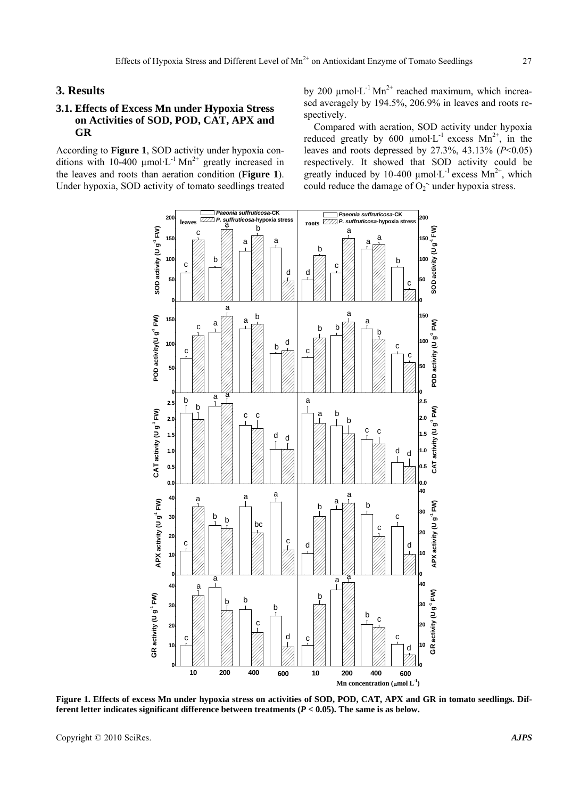### **3. Results**

## **3.1. Effects of Excess Mn under Hypoxia Stress on Activities of SOD, POD, CAT, APX and GR**

According to **Figure 1**, SOD activity under hypoxia conditions with 10-400  $\mu$ mol·L<sup>-1</sup> Mn<sup>2+</sup> greatly increased in the leaves and roots than aeration condition (**Figure 1**). Under hypoxia, SOD activity of tomato seedlings treated by 200  $\mu$ mol·L<sup>-1</sup> Mn<sup>2+</sup> reached maximum, which increased averagely by 194.5%, 206.9% in leaves and roots respectively.

Compared with aeration, SOD activity under hypoxia reduced greatly by 600  $\mu$ mol·L<sup>-1</sup> excess Mn<sup>2+</sup>, in the leaves and roots depressed by 27.3%, 43.13% (*P*<0.05) respectively. It showed that SOD activity could be greatly induced by 10-400  $\mu$ mol·L<sup>-1</sup> excess Mn<sup>2+</sup>, which could reduce the damage of  $O_2$  under hypoxia stress.



**Figure 1. Effects of excess Mn under hypoxia stress on activities of SOD, POD, CAT, APX and GR in tomato seedlings. Different letter indicates significant difference between treatments (***P* **< 0.05). The same is as below.** 

Copyright © 2010 SciRes. *AJPS*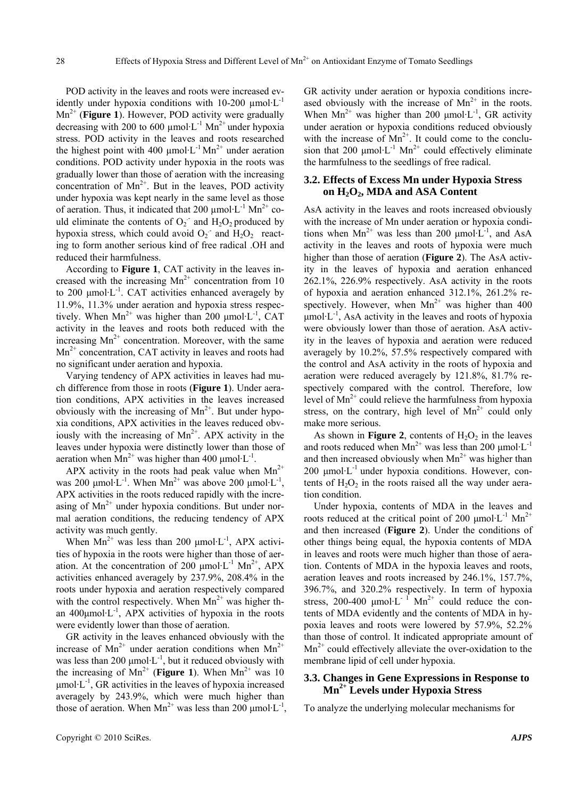POD activity in the leaves and roots were increased evidently under hypoxia conditions with  $10-200 \mu$ mol·L<sup>-1</sup> Mn2+ (**Figure 1**). However, POD activity were gradually decreasing with 200 to 600 umol $L^{-1}$  Mn<sup>2+</sup> under hypoxia stress. POD activity in the leaves and roots researched the highest point with 400  $\mu$ mol·L<sup>-1</sup> Mn<sup>2+</sup> under aeration conditions. POD activity under hypoxia in the roots was gradually lower than those of aeration with the increasing concentration of  $Mn^{2+}$ . But in the leaves, POD activity under hypoxia was kept nearly in the same level as those of aeration. Thus, it indicated that 200  $\mu$ mol·L<sup>-1</sup> Mn<sup>2+</sup> could eliminate the contents of  $O_2$  and  $H_2O_2$  produced by hypoxia stress, which could avoid  $O_2$  and  $H_2O_2$  reacting to form another serious kind of free radical .OH and reduced their harmfulness.

According to **Figure 1**, CAT activity in the leaves increased with the increasing  $Mn^{2+}$  concentration from 10 to 200 μmol·L<sup>-1</sup>. CAT activities enhanced averagely by 11.9%, 11.3% under aeration and hypoxia stress respectively. When  $Mn^{2+}$  was higher than 200 µmol·L<sup>-1</sup>, CAT activity in the leaves and roots both reduced with the increasing  $Mn^{2+}$  concentration. Moreover, with the same  $Mn^{2+}$  concentration, CAT activity in leaves and roots had no significant under aeration and hypoxia.

Varying tendency of APX activities in leaves had much difference from those in roots (**Figure 1**). Under aeration conditions, APX activities in the leaves increased obviously with the increasing of  $Mn^{2+}$ . But under hypoxia conditions, APX activities in the leaves reduced obviously with the increasing of  $Mn^{2+}$ . APX activity in the leaves under hypoxia were distinctly lower than those of aeration when  $Mn^{2+}$  was higher than 400 µmol·L<sup>-1</sup>.

APX activity in the roots had peak value when  $Mn^{2+}$ was 200  $\mu$ mol·L<sup>-1</sup>. When Mn<sup>2+</sup> was above 200  $\mu$ mol·L<sup>-1</sup>, APX activities in the roots reduced rapidly with the increasing of  $Mn^{2+}$  under hypoxia conditions. But under normal aeration conditions, the reducing tendency of APX activity was much gently.

When  $Mn^{2+}$  was less than 200  $\mu$ mol·L<sup>-1</sup>, APX activities of hypoxia in the roots were higher than those of aeration. At the concentration of 200  $\mu$ mol·L<sup>-1</sup> Mn<sup>2+</sup>, APX activities enhanced averagely by 237.9%, 208.4% in the roots under hypoxia and aeration respectively compared with the control respectively. When  $Mn^{2+}$  was higher than  $400 \mu$ mol·L<sup>-1</sup>, APX activities of hypoxia in the roots were evidently lower than those of aeration.

GR activity in the leaves enhanced obviously with the increase of  $Mn^{2+}$  under aeration conditions when  $Mn^{2+}$ was less than 200  $\mu$ mol·L<sup>-1</sup>, but it reduced obviously with the increasing of  $Mn^{2+}$  (**Figure 1**). When  $Mn^{2+}$  was 10  $\mu$ mol·L<sup>-1</sup>, GR activities in the leaves of hypoxia increased averagely by 243.9%, which were much higher than those of aeration. When  $Mn^{2+}$  was less than 200 µmol·L<sup>-1</sup>, GR activity under aeration or hypoxia conditions increased obviously with the increase of  $Mn^{2+}$  in the roots. When  $Mn^{2+}$  was higher than 200 µmol·L<sup>-1</sup>, GR activity under aeration or hypoxia conditions reduced obviously with the increase of  $Mn^{2+}$ . It could come to the conclusion that 200  $\mu$ mol·L<sup>-1</sup> Mn<sup>2+</sup> could effectively eliminate the harmfulness to the seedlings of free radical.

#### **3.2. Effects of Excess Mn under Hypoxia Stress on H2O2, MDA and ASA Content**

AsA activity in the leaves and roots increased obviously with the increase of Mn under aeration or hypoxia conditions when  $Mn^{2+}$  was less than 200 µmol·L<sup>-1</sup>, and AsA activity in the leaves and roots of hypoxia were much higher than those of aeration (**Figure 2**). The AsA activity in the leaves of hypoxia and aeration enhanced 262.1%, 226.9% respectively. AsA activity in the roots of hypoxia and aeration enhanced 312.1%, 261.2% respectively. However, when  $Mn^{2+}$  was higher than 400  $\mu$ mol·L<sup>-1</sup>, AsA activity in the leaves and roots of hypoxia were obviously lower than those of aeration. AsA activity in the leaves of hypoxia and aeration were reduced averagely by 10.2%, 57.5% respectively compared with the control and AsA activity in the roots of hypoxia and aeration were reduced averagely by 121.8%, 81.7% respectively compared with the control. Therefore, low level of  $Mn^{2+}$  could relieve the harmfulness from hypoxia stress, on the contrary, high level of  $Mn^{2+}$  could only make more serious.

As shown in **Figure 2**, contents of  $H_2O_2$  in the leaves and roots reduced when  $Mn^{2+}$  was less than 200 µmol·L<sup>-1</sup> and then increased obviously when  $Mn^{2+}$  was higher than 200  $\mu$ mol·L<sup>-1</sup> under hypoxia conditions. However, contents of  $H_2O_2$  in the roots raised all the way under aeration condition.

Under hypoxia, contents of MDA in the leaves and roots reduced at the critical point of 200  $\mu$ mol·L<sup>-1</sup> Mn<sup>2+</sup> and then increased (**Figure 2**). Under the conditions of other things being equal, the hypoxia contents of MDA in leaves and roots were much higher than those of aeration. Contents of MDA in the hypoxia leaves and roots, aeration leaves and roots increased by 246.1%, 157.7%, 396.7%, and 320.2% respectively. In term of hypoxia stress, 200-400  $\mu$ mol·L<sup>-1</sup> Mn<sup>2+</sup> could reduce the contents of MDA evidently and the contents of MDA in hypoxia leaves and roots were lowered by 57.9%, 52.2% than those of control. It indicated appropriate amount of  $Mn^{2+}$  could effectively alleviate the over-oxidation to the membrane lipid of cell under hypoxia.

## **3.3. Changes in Gene Expressions in Response to Mn2+ Levels under Hypoxia Stress**

To analyze the underlying molecular mechanisms for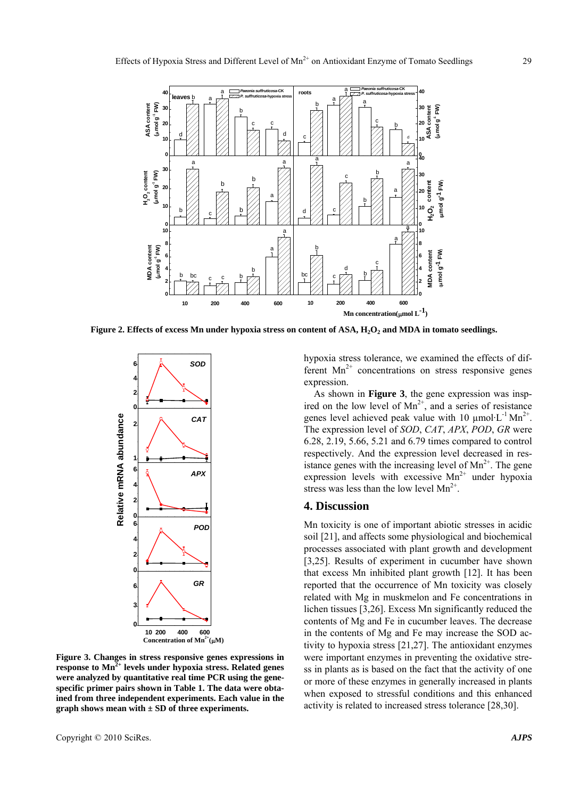

**Figure 2. Effects of excess Mn under hypoxia stress on content of ASA, H<sub>2</sub>O<sub>2</sub> and MDA in tomato seedlings.** 



**Figure 3. Changes in stress responsive genes expressions in**  response to Mn<sup>2+</sup> levels under hypoxia stress. Related genes **were analyzed by quantitative real time PCR using the genespecific primer pairs shown in Table 1. The data were obtained from three independent experiments. Each value in the graph shows mean with ± SD of three experiments.** 

hypoxia stress tolerance, we examined the effects of different  $Mn^{2+}$  concentrations on stress responsive genes expression.

As shown in **Figure 3**, the gene expression was inspired on the low level of  $Mn^{2+}$ , and a series of resistance genes level achieved peak value with 10  $\mu$ mol·L<sup>-1</sup> Mn<sup>2+</sup>. The expression level of *SOD*, *CAT*, *APX*, *POD*, *GR* were 6.28, 2.19, 5.66, 5.21 and 6.79 times compared to control respectively. And the expression level decreased in resistance genes with the increasing level of  $Mn^{2+}$ . The gene expression levels with excessive  $Mn^{2+}$  under hypoxia stress was less than the low level  $Mn^{2+}$ .

#### **4. Discussion**

Mn toxicity is one of important abiotic stresses in acidic soil [21], and affects some physiological and biochemical processes associated with plant growth and development [3,25]. Results of experiment in cucumber have shown that excess Mn inhibited plant growth [12]. It has been reported that the occurrence of Mn toxicity was closely related with Mg in muskmelon and Fe concentrations in lichen tissues [3,26]. Excess Mn significantly reduced the contents of Mg and Fe in cucumber leaves. The decrease in the contents of Mg and Fe may increase the SOD activity to hypoxia stress [21,27]. The antioxidant enzymes were important enzymes in preventing the oxidative stress in plants as is based on the fact that the activity of one or more of these enzymes in generally increased in plants when exposed to stressful conditions and this enhanced activity is related to increased stress tolerance [28,30].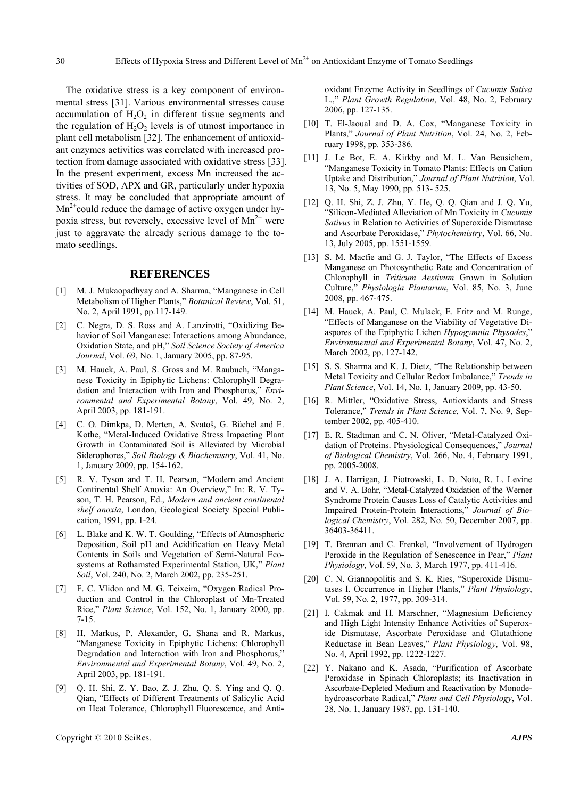The oxidative stress is a key component of environmental stress [31]. Various environmental stresses cause accumulation of  $H_2O_2$  in different tissue segments and the regulation of  $H_2O_2$  levels is of utmost importance in plant cell metabolism [32]. The enhancement of antioxidant enzymes activities was correlated with increased protection from damage associated with oxidative stress [33]. In the present experiment, excess Mn increased the activities of SOD, APX and GR, particularly under hypoxia stress. It may be concluded that appropriate amount of  $Mn^{2+}$ could reduce the damage of active oxygen under hypoxia stress, but reversely, excessive level of  $Mn^{2+}$  were just to aggravate the already serious damage to the tomato seedlings.

#### **REFERENCES**

- [1] M. J. Mukaopadhyay and A. Sharma, "Manganese in Cell Metabolism of Higher Plants," *Botanical Review*, Vol. 51, No. 2, April 1991, pp.117-149.
- [2] C. Negra, D. S. Ross and A. Lanzirotti, "Oxidizing Behavior of Soil Manganese: Interactions among Abundance, Oxidation State, and pH," *Soil Science Society of America Journal*, Vol. 69, No. 1, January 2005, pp. 87-95.
- [3] M. Hauck, A. Paul, S. Gross and M. Raubuch, "Manganese Toxicity in Epiphytic Lichens: Chlorophyll Degradation and Interaction with Iron and Phosphorus," *Environmental and Experimental Botany*, Vol. 49, No. 2, April 2003, pp. 181-191.
- [4] C. O. Dimkpa, D. Merten, A. Svatoš, G. Büchel and E. Kothe, "Metal-Induced Oxidative Stress Impacting Plant Growth in Contaminated Soil is Alleviated by Microbial Siderophores," *Soil Biology & Biochemistry*, Vol. 41, No. 1, January 2009, pp. 154-162.
- [5] R. V. Tyson and T. H. Pearson, "Modern and Ancient Continental Shelf Anoxia: An Overview," In: R. V. Tyson, T. H. Pearson, Ed., *Modern and ancient continental shelf anoxia*, London, Geological Society Special Publication, 1991, pp. 1-24.
- [6] L. Blake and K. W. T. Goulding, "Effects of Atmospheric Deposition, Soil pH and Acidification on Heavy Metal Contents in Soils and Vegetation of Semi-Natural Ecosystems at Rothamsted Experimental Station, UK," *Plant Soil*, Vol. 240, No. 2, March 2002, pp. 235-251.
- [7] F. C. Vlidon and M. G. Teixeira, "Oxygen Radical Production and Control in the Chloroplast of Mn-Treated Rice," *Plant Science*, Vol. 152, No. 1, January 2000, pp. 7-15.
- [8] H. Markus, P. Alexander, G. Shana and R. Markus, "Manganese Toxicity in Epiphytic Lichens: Chlorophyll Degradation and Interaction with Iron and Phosphorus," *Environmental and Experimental Botany*, Vol. 49, No. 2, April 2003, pp. 181-191.
- [9] Q. H. Shi, Z. Y. Bao, Z. J. Zhu, Q. S. Ying and Q. Q. Qian, "Effects of Different Treatments of Salicylic Acid on Heat Tolerance, Chlorophyll Fluorescence, and Anti-

oxidant Enzyme Activity in Seedlings of *Cucumis Sativa* L.," *Plant Growth Regulation*, Vol. 48, No. 2, February 2006, pp. 127-135.

- [10] T. El-Jaoual and D. A. Cox, "Manganese Toxicity in Plants," *Journal of Plant Nutrition*, Vol. 24, No. 2, February 1998, pp. 353-386.
- [11] J. Le Bot, E. A. Kirkby and M. L. Van Beusichem, "Manganese Toxicity in Tomato Plants: Effects on Cation Uptake and Distribution," *Journal of Plant Nutrition*, Vol. 13, No. 5, May 1990, pp. 513- 525.
- [12] Q. H. Shi, Z. J. Zhu, Y. He, Q. Q. Qian and J. Q. Yu, "Silicon-Mediated Alleviation of Mn Toxicity in *Cucumis Sativus* in Relation to Activities of Superoxide Dismutase and Ascorbate Peroxidase," *Phytochemistry*, Vol. 66, No. 13, July 2005, pp. 1551-1559.
- [13] S. M. Macfie and G. J. Taylor, "The Effects of Excess Manganese on Photosynthetic Rate and Concentration of Chlorophyll in *Triticum Aestivum* Grown in Solution Culture," *Physiologia Plantarum*, Vol. 85, No. 3, June 2008, pp. 467-475.
- [14] M. Hauck, A. Paul, C. Mulack, E. Fritz and M. Runge, "Effects of Manganese on the Viability of Vegetative Diaspores of the Epiphytic Lichen *Hypogymnia Physodes*," *Environmental and Experimental Botany*, Vol. 47, No. 2, March 2002, pp. 127-142.
- [15] S. S. Sharma and K. J. Dietz, "The Relationship between Metal Toxicity and Cellular Redox Imbalance," *Trends in Plant Science*, Vol. 14, No. 1, January 2009, pp. 43-50.
- [16] R. Mittler, "Oxidative Stress, Antioxidants and Stress Tolerance," *Trends in Plant Science*, Vol. 7, No. 9, September 2002, pp. 405-410.
- [17] E. R. Stadtman and C. N. Oliver, "Metal-Catalyzed Oxidation of Proteins. Physiological Consequences," *Journal of Biological Chemistry*, Vol. 266, No. 4, February 1991, pp. 2005-2008.
- [18] J. A. Harrigan, J. Piotrowski, L. D. Noto, R. L. Levine and V. A. Bohr, "Metal-Catalyzed Oxidation of the Werner Syndrome Protein Causes Loss of Catalytic Activities and Impaired Protein-Protein Interactions," *Journal of Biological Chemistry*, Vol. 282, No. 50, December 2007, pp. 36403-36411.
- [19] T. Brennan and C. Frenkel, "Involvement of Hydrogen Peroxide in the Regulation of Senescence in Pear," *Plant Physiology*, Vol. 59, No. 3, March 1977, pp. 411-416.
- [20] C. N. Giannopolitis and S. K. Ries, "Superoxide Dismutases I. Occurrence in Higher Plants," *Plant Physiology*, Vol. 59, No. 2, 1977, pp. 309-314.
- [21] I. Cakmak and H. Marschner, "Magnesium Deficiency and High Light Intensity Enhance Activities of Superoxide Dismutase, Ascorbate Peroxidase and Glutathione Reductase in Bean Leaves," *Plant Physiology*, Vol. 98, No. 4, April 1992, pp. 1222-1227.
- [22] Y. Nakano and K. Asada, "Purification of Ascorbate Peroxidase in Spinach Chloroplasts; its Inactivation in Ascorbate-Depleted Medium and Reactivation by Monodehydroascorbate Radical," *Plant and Cell Physiology*, Vol. 28, No. 1, January 1987, pp. 131-140.